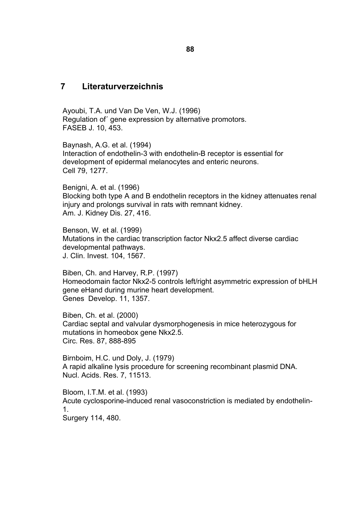## **7 Literaturverzeichnis**

Ayoubi, T.A. und Van De Ven, W.J. (1996) Regulation of´ gene expression by alternative promotors. FASEB J. 10, 453.

Baynash, A.G. et al. (1994) Interaction of endothelin-3 with endothelin-B receptor is essential for development of epidermal melanocytes and enteric neurons. Cell 79, 1277.

Benigni, A. et al. (1996) Blocking both type A and B endothelin receptors in the kidney attenuates renal injury and prolongs survival in rats with remnant kidney. Am. J. Kidney Dis. 27, 416.

Benson, W. et al. (1999) Mutations in the cardiac transcription factor Nkx2.5 affect diverse cardiac developmental pathways. J. Clin. Invest. 104, 1567.

Biben, Ch. and Harvey, R.P. (1997) Homeodomain factor Nkx2-5 controls left/right asymmetric expression of bHLH gene eHand during murine heart development. Genes Develop. 11, 1357.

Biben, Ch. et al. (2000) Cardiac septal and valvular dysmorphogenesis in mice heterozygous for mutations in homeobox gene Nkx2.5. Circ. Res. 87, 888-895

Birnboim, H.C. und Doly, J. (1979) A rapid alkaline lysis procedure for screening recombinant plasmid DNA. Nucl. Acids. Res. 7, 11513.

Bloom, I.T.M. et al. (1993) Acute cyclosporine-induced renal vasoconstriction is mediated by endothelin-1. Surgery 114, 480.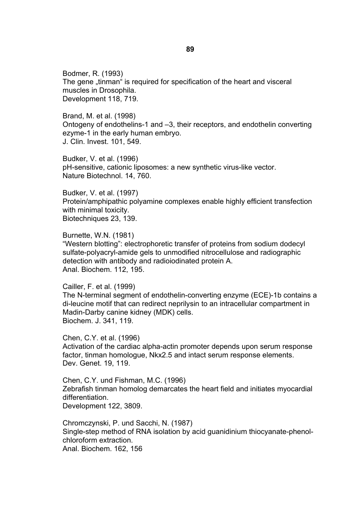Bodmer, R. (1993) The gene "tinman" is required for specification of the heart and visceral muscles in Drosophila. Development 118, 719.

Brand, M. et al. (1998) Ontogeny of endothelins-1 and –3, their receptors, and endothelin converting ezyme-1 in the early human embryo. J. Clin. Invest. 101, 549.

Budker, V. et al. (1996) pH-sensitive, cationic liposomes: a new synthetic virus-like vector. Nature Biotechnol. 14, 760.

Budker, V. et al. (1997) Protein/amphipathic polyamine complexes enable highly efficient transfection with minimal toxicity. Biotechniques 23, 139.

Burnette, W.N. (1981) "Western blotting": electrophoretic transfer of proteins from sodium dodecyl sulfate-polyacryl-amide gels to unmodified nitrocellulose and radiographic detection with antibody and radioiodinated protein A. Anal. Biochem. 112, 195.

Cailler, F. et al. (1999) The N-terminal segment of endothelin-converting enzyme (ECE)-1b contains a di-leucine motif that can redirect neprilysin to an intracellular compartment in Madin-Darby canine kidney (MDK) cells. Biochem. J. 341, 119.

Chen, C.Y. et al. (1996) Activation of the cardiac alpha-actin promoter depends upon serum response factor, tinman homologue, Nkx2.5 and intact serum response elements. Dev. Genet. 19, 119.

Chen, C.Y. und Fishman, M.C. (1996) Zebrafish tinman homolog demarcates the heart field and initiates myocardial differentiation. Development 122, 3809.

Chromczynski, P. und Sacchi, N. (1987) Single-step method of RNA isolation by acid guanidinium thiocyanate-phenolchloroform extraction.

Anal. Biochem. 162, 156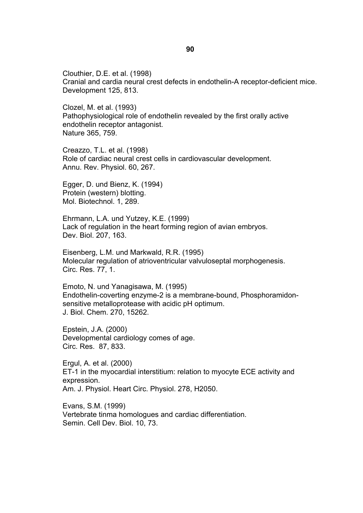Clouthier, D.E. et al. (1998) Cranial and cardia neural crest defects in endothelin-A receptor-deficient mice. Development 125, 813.

Clozel, M. et al. (1993) Pathophysiological role of endothelin revealed by the first orally active endothelin receptor antagonist. Nature 365, 759.

Creazzo, T.L. et al. (1998) Role of cardiac neural crest cells in cardiovascular development. Annu. Rev. Physiol. 60, 267.

Egger, D. und Bienz, K. (1994) Protein (western) blotting. Mol. Biotechnol. 1, 289.

Ehrmann, L.A. und Yutzey, K.E. (1999) Lack of regulation in the heart forming region of avian embryos. Dev. Biol. 207, 163.

Eisenberg, L.M. und Markwald, R.R. (1995) Molecular regulation of atrioventricular valvuloseptal morphogenesis. Circ. Res. 77, 1.

Emoto, N. und Yanagisawa, M. (1995) Endothelin-coverting enzyme-2 is a membrane-bound, Phosphoramidonsensitive metalloprotease with acidic pH optimum. J. Biol. Chem. 270, 15262.

Epstein, J.A. (2000) Developmental cardiology comes of age. Circ. Res. 87, 833.

Ergul, A. et al. (2000) ET-1 in the myocardial interstitium: relation to myocyte ECE activity and expression. Am. J. Physiol. Heart Circ. Physiol. 278, H2050.

Evans, S.M. (1999) Vertebrate tinma homologues and cardiac differentiation. Semin. Cell Dev. Biol. 10, 73.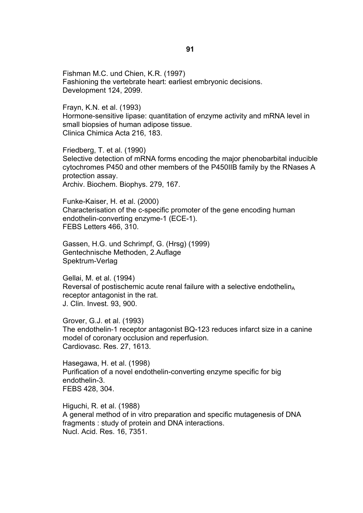Fishman M.C. und Chien, K.R. (1997) Fashioning the vertebrate heart: earliest embryonic decisions. Development 124, 2099.

Frayn, K.N. et al. (1993) Hormone-sensitive lipase: quantitation of enzyme activity and mRNA level in small biopsies of human adipose tissue. Clinica Chimica Acta 216, 183.

Friedberg, T. et al. (1990) Selective detection of mRNA forms encoding the major phenobarbital inducible cytochromes P450 and other members of the P450IIB family by the RNases A protection assay. Archiv. Biochem. Biophys. 279, 167.

Funke-Kaiser, H. et al. (2000) Characterisation of the c-specific promoter of the gene encoding human endothelin-converting enzyme-1 (ECE-1). FEBS Letters 466, 310.

Gassen, H.G. und Schrimpf, G. (Hrsg) (1999) Gentechnische Methoden, 2.Auflage Spektrum-Verlag

Gellai, M. et al. (1994) Reversal of postischemic acute renal failure with a selective endothelin $_A$ receptor antagonist in the rat. J. Clin. Invest. 93, 900.

Grover, G.J. et al. (1993) The endothelin-1 receptor antagonist BQ-123 reduces infarct size in a canine model of coronary occlusion and reperfusion. Cardiovasc. Res. 27, 1613.

Hasegawa, H. et al. (1998) Purification of a novel endothelin-converting enzyme specific for big endothelin-3. FEBS 428, 304.

Higuchi, R. et al. (1988) A general method of in vitro preparation and specific mutagenesis of DNA fragments : study of protein and DNA interactions. Nucl. Acid. Res. 16, 7351.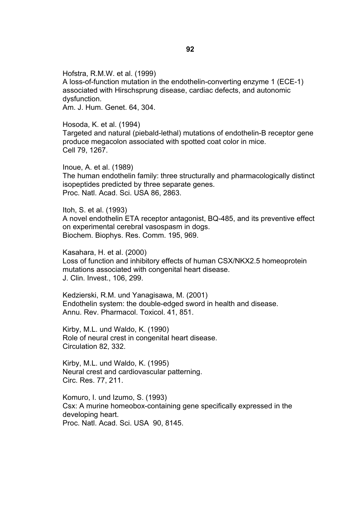Hofstra, R.M.W. et al. (1999) A loss-of-function mutation in the endothelin-converting enzyme 1 (ECE-1) associated with Hirschsprung disease, cardiac defects, and autonomic dysfunction. Am. J. Hum. Genet. 64, 304.

Hosoda, K. et al. (1994) Targeted and natural (piebald-lethal) mutations of endothelin-B receptor gene produce megacolon associated with spotted coat color in mice. Cell 79, 1267.

Inoue, A. et al. (1989) The human endothelin family: three structurally and pharmacologically distinct isopeptides predicted by three separate genes. Proc. Natl. Acad. Sci. USA 86, 2863.

Itoh, S. et al. (1993) A novel endothelin ETA receptor antagonist, BQ-485, and its preventive effect on experimental cerebral vasospasm in dogs. Biochem. Biophys. Res. Comm. 195, 969.

Kasahara, H. et al. (2000) Loss of function and inhibitory effects of human CSX/NKX2.5 homeoprotein mutations associated with congenital heart disease. J. Clin. Invest., 106, 299.

Kedzierski, R.M. und Yanagisawa, M. (2001) Endothelin system: the double-edged sword in health and disease. Annu. Rev. Pharmacol. Toxicol. 41, 851.

Kirby, M.L. und Waldo, K. (1990) Role of neural crest in congenital heart disease. Circulation 82, 332.

Kirby, M.L. und Waldo, K. (1995) Neural crest and cardiovascular patterning. Circ. Res. 77, 211.

Komuro, I. und Izumo, S. (1993) Csx: A murine homeobox-containing gene specifically expressed in the developing heart. Proc. Natl. Acad. Sci. USA 90, 8145.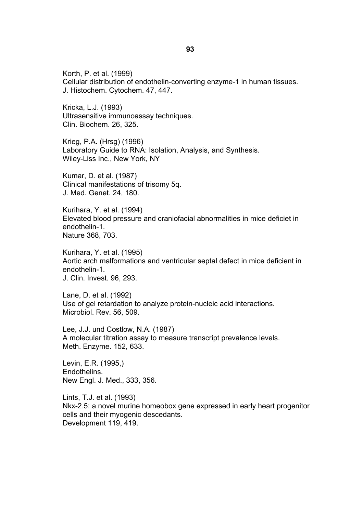Korth, P. et al. (1999) Cellular distribution of endothelin-converting enzyme-1 in human tissues. J. Histochem. Cytochem. 47, 447.

Kricka, L.J. (1993) Ultrasensitive immunoassay techniques. Clin. Biochem. 26, 325.

Krieg, P.A. (Hrsg) (1996) Laboratory Guide to RNA: Isolation, Analysis, and Synthesis. Wiley-Liss Inc., New York, NY

Kumar, D. et al. (1987) Clinical manifestations of trisomy 5q. J. Med. Genet. 24, 180.

Kurihara, Y. et al. (1994) Elevated blood pressure and craniofacial abnormalities in mice deficiet in endothelin-1. Nature 368, 703.

Kurihara, Y. et al. (1995) Aortic arch malformations and ventricular septal defect in mice deficient in endothelin-1. J. Clin. Invest. 96, 293.

Lane, D. et al. (1992) Use of gel retardation to analyze protein-nucleic acid interactions. Microbiol. Rev. 56, 509.

Lee, J.J. und Costlow, N.A. (1987) A molecular titration assay to measure transcript prevalence levels. Meth. Enzyme. 152, 633.

Levin, E.R. (1995,) Endothelins. New Engl. J. Med., 333, 356.

Lints, T.J. et al. (1993) Nkx-2.5: a novel murine homeobox gene expressed in early heart progenitor cells and their myogenic descedants. Development 119, 419.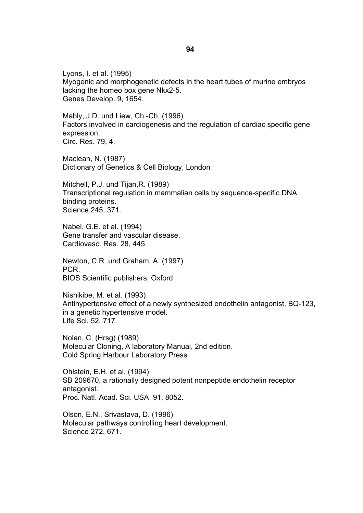Lyons, I. et al. (1995) Myogenic and morphogenetic defects in the heart tubes of murine embryos lacking the homeo box gene Nkx2-5. Genes Develop. 9, 1654.

Mably, J.D. und Liew, Ch.-Ch. (1996) Factors involved in cardiogenesis and the regulation of cardiac specific gene expression. Circ. Res. 79, 4.

Maclean, N. (1987) Dictionary of Genetics & Cell Biology, London

Mitchell, P.J. und Tijan,R. (1989) Transcriptional regulation in mammalian cells by sequence-specific DNA binding proteins. Science 245, 371.

Nabel, G.E. et al. (1994) Gene transfer and vascular disease. Cardiovasc. Res. 28, 445.

Newton, C.R. und Graham, A. (1997) PCR. BIOS Scientific publishers, Oxford

Nishikibe, M. et al. (1993) Antihypertensive effect of a newly synthesized endothelin antagonist, BQ-123, in a genetic hypertensive model. Life Sci. 52, 717.

Nolan, C. (Hrsg) (1989) Molecular Cloning, A laboratory Manual, 2nd edition. Cold Spring Harbour Laboratory Press

Ohlstein, E.H. et al. (1994) SB 209670, a rationally designed potent nonpeptide endothelin receptor antagonist. Proc. Natl. Acad. Sci. USA 91, 8052.

Olson, E.N., Srivastava, D. (1996) Molecular pathways controlling heart development. Science 272, 671.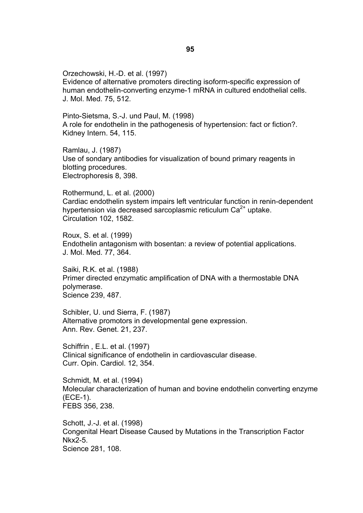Orzechowski, H.-D. et al. (1997) Evidence of alternative promoters directing isoform-specific expression of human endothelin-converting enzyme-1 mRNA in cultured endothelial cells. J. Mol. Med. 75, 512.

Pinto-Sietsma, S.-J. und Paul, M. (1998) A role for endothelin in the pathogenesis of hypertension: fact or fiction?. Kidney Intern. 54, 115.

Ramlau, J. (1987) Use of sondary antibodies for visualization of bound primary reagents in blotting procedures. Electrophoresis 8, 398.

Rothermund, L. et al. (2000) Cardiac endothelin system impairs left ventricular function in renin-dependent hypertension via decreased sarcoplasmic reticulum  $Ca<sup>2+</sup>$  uptake. Circulation 102, 1582.

Roux, S. et al. (1999) Endothelin antagonism with bosentan: a review of potential applications. J. Mol. Med. 77, 364.

Saiki, R.K. et al. (1988) Primer directed enzymatic amplification of DNA with a thermostable DNA polymerase. Science 239, 487.

Schibler, U. und Sierra, F. (1987) Alternative promotors in developmental gene expression. Ann. Rev. Genet. 21, 237.

Schiffrin , E.L. et al. (1997) Clinical significance of endothelin in cardiovascular disease. Curr. Opin. Cardiol. 12, 354.

Schmidt, M. et al. (1994) Molecular characterization of human and bovine endothelin converting enzyme (ECE-1). FEBS 356, 238.

Schott, J.-J. et al. (1998) Congenital Heart Disease Caused by Mutations in the Transcription Factor Nkx2-5. Science 281, 108.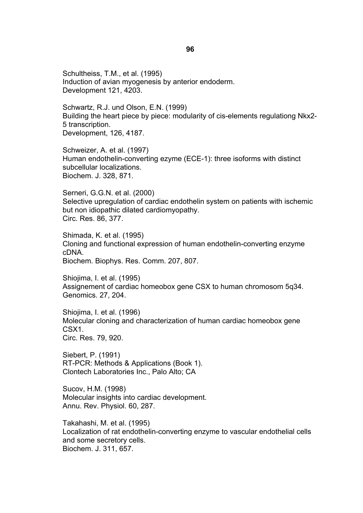Schultheiss, T.M., et al. (1995) Induction of avian myogenesis by anterior endoderm. Development 121, 4203.

Schwartz, R.J. und Olson, E.N. (1999) Building the heart piece by piece: modularity of cis-elements regulationg Nkx2- 5 transcription. Development, 126, 4187.

Schweizer, A. et al. (1997) Human endothelin-converting ezyme (ECE-1): three isoforms with distinct subcellular localizations. Biochem. J. 328, 871.

Serneri, G.G.N. et al. (2000) Selective upregulation of cardiac endothelin system on patients with ischemic but non idiopathic dilated cardiomyopathy. Circ. Res. 86, 377.

Shimada, K. et al. (1995) Cloning and functional expression of human endothelin-converting enzyme cDNA. Biochem. Biophys. Res. Comm. 207, 807.

Shiojima, I. et al. (1995) Assignement of cardiac homeobox gene CSX to human chromosom 5q34. Genomics. 27, 204.

Shiojima, I. et al. (1996) Molecular cloning and characterization of human cardiac homeobox gene CSX1. Circ. Res. 79, 920.

Siebert, P. (1991) RT-PCR: Methods & Applications (Book 1). Clontech Laboratories Inc., Palo Alto; CA

Sucov, H.M. (1998) Molecular insights into cardiac development. Annu. Rev. Physiol. 60, 287.

Takahashi, M. et al. (1995) Localization of rat endothelin-converting enzyme to vascular endothelial cells and some secretory cells. Biochem. J. 311, 657.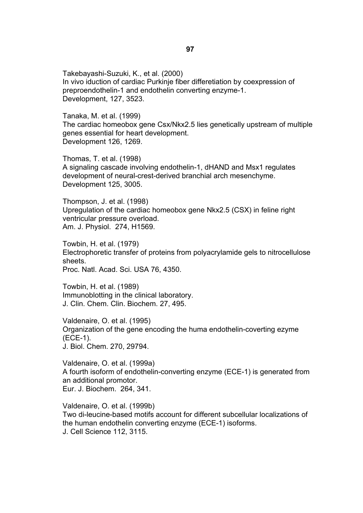Takebayashi-Suzuki, K., et al. (2000) In vivo iduction of cardiac Purkinje fiber differetiation by coexpression of preproendothelin-1 and endothelin converting enzyme-1. Development, 127, 3523.

Tanaka, M. et al. (1999) The cardiac homeobox gene Csx/Nkx2.5 lies genetically upstream of multiple genes essential for heart development. Development 126, 1269.

Thomas, T. et al. (1998) A signaling cascade involving endothelin-1, dHAND and Msx1 regulates development of neural-crest-derived branchial arch mesenchyme. Development 125, 3005.

Thompson, J. et al. (1998) Upregulation of the cardiac homeobox gene Nkx2.5 (CSX) in feline right ventricular pressure overload. Am. J. Physiol. 274, H1569.

Towbin, H. et al. (1979) Electrophoretic transfer of proteins from polyacrylamide gels to nitrocellulose sheets. Proc. Natl. Acad. Sci. USA 76, 4350.

Towbin, H. et al. (1989) Immunoblotting in the clinical laboratory. J. Clin. Chem. Clin. Biochem. 27, 495.

Valdenaire, O. et al. (1995) Organization of the gene encoding the huma endothelin-coverting ezyme (ECE-1). J. Biol. Chem. 270, 29794.

Valdenaire, O. et al. (1999a) A fourth isoform of endothelin-converting enzyme (ECE-1) is generated from an additional promotor. Eur. J. Biochem. 264, 341.

Valdenaire, O. et al. (1999b) Two di-leucine-based motifs account for different subcellular localizations of the human endothelin converting enzyme (ECE-1) isoforms. J. Cell Science 112, 3115.